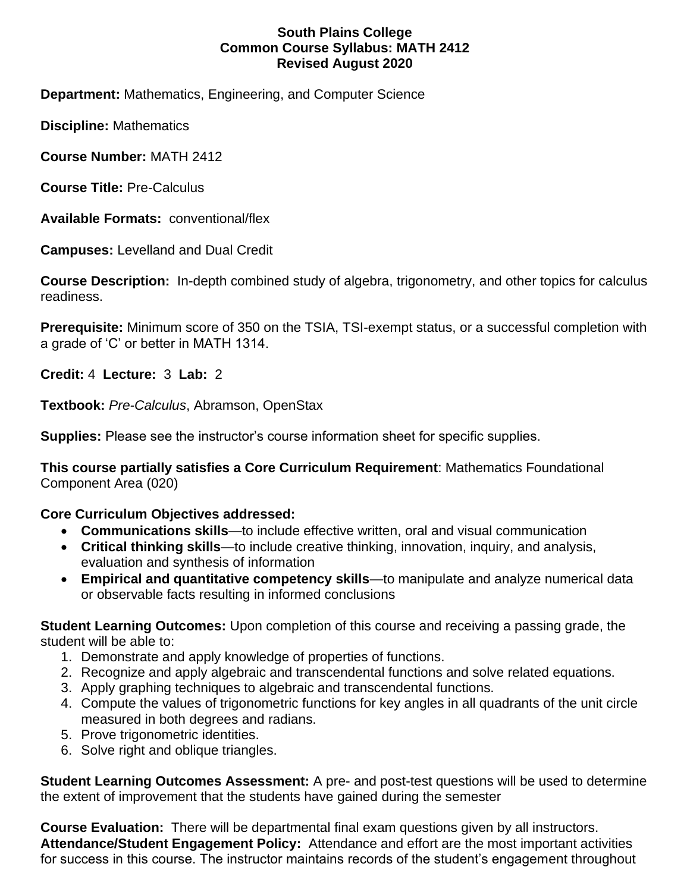#### **South Plains College Common Course Syllabus: MATH 2412 Revised August 2020**

**Department:** Mathematics, Engineering, and Computer Science

**Discipline:** Mathematics

**Course Number:** MATH 2412

**Course Title:** Pre-Calculus

**Available Formats:** conventional/flex

**Campuses:** Levelland and Dual Credit

**Course Description:** In-depth combined study of algebra, trigonometry, and other topics for calculus readiness.

**Prerequisite:** Minimum score of 350 on the TSIA, TSI-exempt status, or a successful completion with a grade of 'C' or better in MATH 1314.

**Credit:** 4 **Lecture:** 3 **Lab:** 2

**Textbook:** *Pre-Calculus*, Abramson, OpenStax

**Supplies:** Please see the instructor's course information sheet for specific supplies.

**This course partially satisfies a Core Curriculum Requirement**: Mathematics Foundational Component Area (020)

## **Core Curriculum Objectives addressed:**

- **Communications skills**—to include effective written, oral and visual communication
- **Critical thinking skills**—to include creative thinking, innovation, inquiry, and analysis, evaluation and synthesis of information
- **Empirical and quantitative competency skills**—to manipulate and analyze numerical data or observable facts resulting in informed conclusions

**Student Learning Outcomes:** Upon completion of this course and receiving a passing grade, the student will be able to:

- 1. Demonstrate and apply knowledge of properties of functions.
- 2. Recognize and apply algebraic and transcendental functions and solve related equations.
- 3. Apply graphing techniques to algebraic and transcendental functions.
- 4. Compute the values of trigonometric functions for key angles in all quadrants of the unit circle measured in both degrees and radians.
- 5. Prove trigonometric identities.
- 6. Solve right and oblique triangles.

**Student Learning Outcomes Assessment:** A pre- and post-test questions will be used to determine the extent of improvement that the students have gained during the semester

**Course Evaluation:** There will be departmental final exam questions given by all instructors. **Attendance/Student Engagement Policy:** Attendance and effort are the most important activities for success in this course. The instructor maintains records of the student's engagement throughout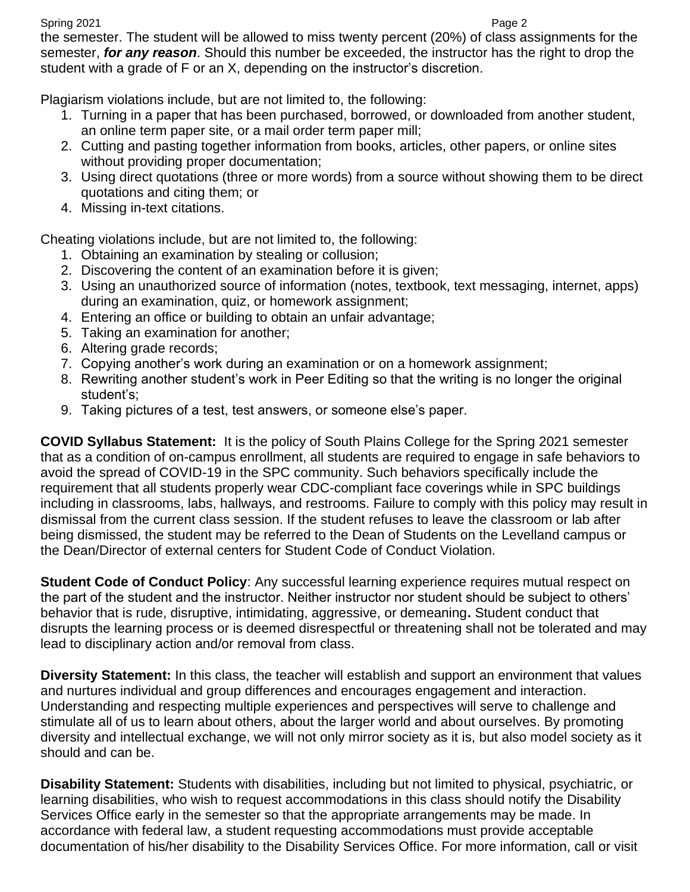the semester. The student will be allowed to miss twenty percent (20%) of class assignments for the semester, *for any reason*. Should this number be exceeded, the instructor has the right to drop the student with a grade of F or an X, depending on the instructor's discretion.

Plagiarism violations include, but are not limited to, the following:

- 1. Turning in a paper that has been purchased, borrowed, or downloaded from another student, an online term paper site, or a mail order term paper mill;
- 2. Cutting and pasting together information from books, articles, other papers, or online sites without providing proper documentation;
- 3. Using direct quotations (three or more words) from a source without showing them to be direct quotations and citing them; or
- 4. Missing in-text citations.

Cheating violations include, but are not limited to, the following:

- 1. Obtaining an examination by stealing or collusion;
- 2. Discovering the content of an examination before it is given;
- 3. Using an unauthorized source of information (notes, textbook, text messaging, internet, apps) during an examination, quiz, or homework assignment;
- 4. Entering an office or building to obtain an unfair advantage;
- 5. Taking an examination for another;
- 6. Altering grade records;
- 7. Copying another's work during an examination or on a homework assignment;
- 8. Rewriting another student's work in Peer Editing so that the writing is no longer the original student's;
- 9. Taking pictures of a test, test answers, or someone else's paper.

**COVID Syllabus Statement:** It is the policy of South Plains College for the Spring 2021 semester that as a condition of on-campus enrollment, all students are required to engage in safe behaviors to avoid the spread of COVID-19 in the SPC community. Such behaviors specifically include the requirement that all students properly wear CDC-compliant face coverings while in SPC buildings including in classrooms, labs, hallways, and restrooms. Failure to comply with this policy may result in dismissal from the current class session. If the student refuses to leave the classroom or lab after being dismissed, the student may be referred to the Dean of Students on the Levelland campus or the Dean/Director of external centers for Student Code of Conduct Violation.

**Student Code of Conduct Policy**: Any successful learning experience requires mutual respect on the part of the student and the instructor. Neither instructor nor student should be subject to others' behavior that is rude, disruptive, intimidating, aggressive, or demeaning**.** Student conduct that disrupts the learning process or is deemed disrespectful or threatening shall not be tolerated and may lead to disciplinary action and/or removal from class.

**Diversity Statement:** In this class, the teacher will establish and support an environment that values and nurtures individual and group differences and encourages engagement and interaction. Understanding and respecting multiple experiences and perspectives will serve to challenge and stimulate all of us to learn about others, about the larger world and about ourselves. By promoting diversity and intellectual exchange, we will not only mirror society as it is, but also model society as it should and can be.

**Disability Statement:** Students with disabilities, including but not limited to physical, psychiatric, or learning disabilities, who wish to request accommodations in this class should notify the Disability Services Office early in the semester so that the appropriate arrangements may be made. In accordance with federal law, a student requesting accommodations must provide acceptable documentation of his/her disability to the Disability Services Office. For more information, call or visit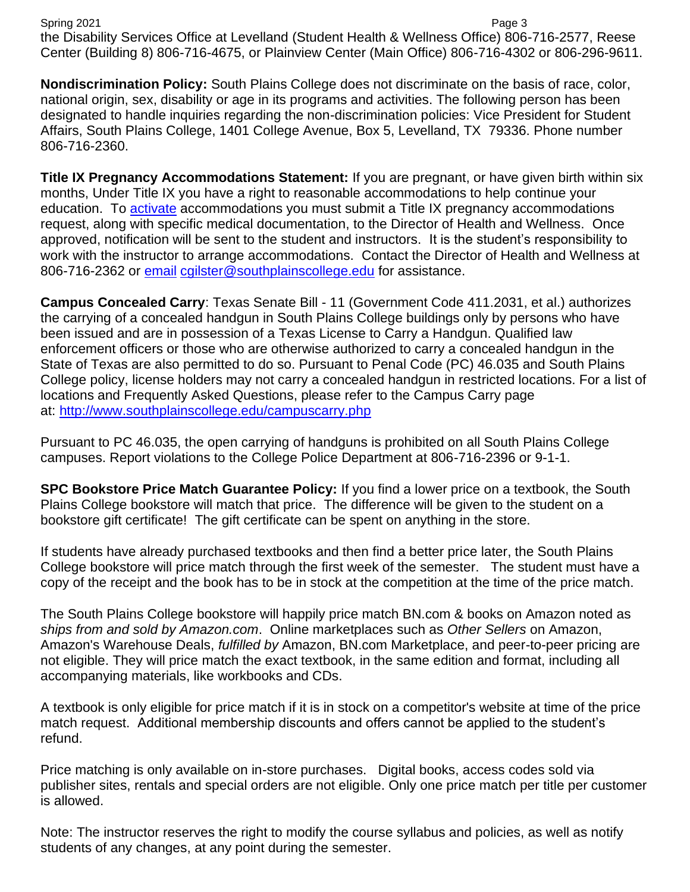Spring 2021 **Page 3** the Disability Services Office at Levelland (Student Health & Wellness Office) 806-716-2577, Reese Center (Building 8) 806-716-4675, or Plainview Center (Main Office) 806-716-4302 or 806-296-9611.

**Nondiscrimination Policy:** South Plains College does not discriminate on the basis of race, color, national origin, sex, disability or age in its programs and activities. The following person has been designated to handle inquiries regarding the non-discrimination policies: Vice President for Student Affairs, South Plains College, 1401 College Avenue, Box 5, Levelland, TX 79336. Phone number 806-716-2360.

**Title IX Pregnancy Accommodations Statement:** If you are pregnant, or have given birth within six months, Under Title IX you have a right to reasonable accommodations to help continue your education. To [activate](http://www.southplainscollege.edu/employees/manualshandbooks/facultyhandbook/sec4.php) accommodations you must submit a Title IX pregnancy accommodations request, along with specific medical documentation, to the Director of Health and Wellness. Once approved, notification will be sent to the student and instructors. It is the student's responsibility to work with the instructor to arrange accommodations. Contact the Director of Health and Wellness at 806-716-2362 or [email](http://www.southplainscollege.edu/employees/manualshandbooks/facultyhandbook/sec4.php) [cgilster@southplainscollege.edu](mailto:cgilster@southplainscollege.edu) for assistance.

**Campus Concealed Carry**: Texas Senate Bill - 11 (Government Code 411.2031, et al.) authorizes the carrying of a concealed handgun in South Plains College buildings only by persons who have been issued and are in possession of a Texas License to Carry a Handgun. Qualified law enforcement officers or those who are otherwise authorized to carry a concealed handgun in the State of Texas are also permitted to do so. Pursuant to Penal Code (PC) 46.035 and South Plains College policy, license holders may not carry a concealed handgun in restricted locations. For a list of locations and Frequently Asked Questions, please refer to the Campus Carry page at: <http://www.southplainscollege.edu/campuscarry.php>

Pursuant to PC 46.035, the open carrying of handguns is prohibited on all South Plains College campuses. Report violations to the College Police Department at 806-716-2396 or 9-1-1.

**SPC Bookstore Price Match Guarantee Policy:** If you find a lower price on a textbook, the South Plains College bookstore will match that price. The difference will be given to the student on a bookstore gift certificate! The gift certificate can be spent on anything in the store.

If students have already purchased textbooks and then find a better price later, the South Plains College bookstore will price match through the first week of the semester. The student must have a copy of the receipt and the book has to be in stock at the competition at the time of the price match.

The South Plains College bookstore will happily price match BN.com & books on Amazon noted as *ships from and sold by Amazon.com*. Online marketplaces such as *Other Sellers* on Amazon, Amazon's Warehouse Deals, *fulfilled by* Amazon, BN.com Marketplace, and peer-to-peer pricing are not eligible. They will price match the exact textbook, in the same edition and format, including all accompanying materials, like workbooks and CDs.

A textbook is only eligible for price match if it is in stock on a competitor's website at time of the price match request. Additional membership discounts and offers cannot be applied to the student's refund.

Price matching is only available on in-store purchases. Digital books, access codes sold via publisher sites, rentals and special orders are not eligible. Only one price match per title per customer is allowed.

Note: The instructor reserves the right to modify the course syllabus and policies, as well as notify students of any changes, at any point during the semester.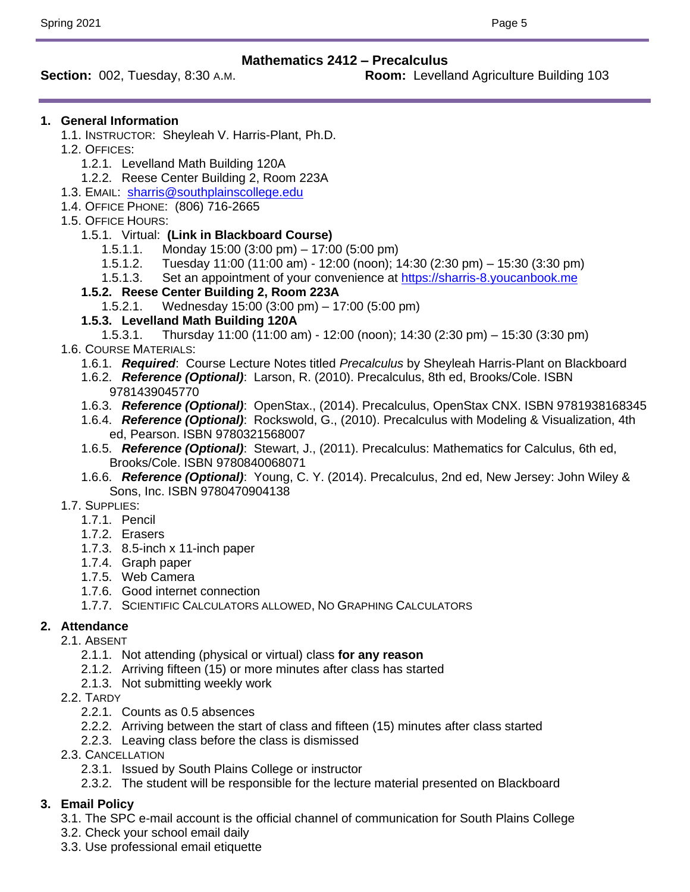### **Mathematics 2412 – Precalculus**

**Section:** 002, Tuesday, 8:30 A.M. **Room:** Levelland Agriculture Building 103

#### **1. General Information**

- 1.1. INSTRUCTOR: Sheyleah V. Harris-Plant, Ph.D.
- 1.2. OFFICES:
	- 1.2.1. Levelland Math Building 120A
	- 1.2.2. Reese Center Building 2, Room 223A
- 1.3. EMAIL: [sharris@southplainscollege.edu](mailto:sharris@southplainscollege.edu)
- 1.4. OFFICE PHONE: (806) 716-2665
- 1.5. OFFICE HOURS:

#### 1.5.1. Virtual: **(Link in Blackboard Course)**

- 1.5.1.1. Monday 15:00 (3:00 pm) 17:00 (5:00 pm)
- 1.5.1.2. Tuesday 11:00 (11:00 am) 12:00 (noon); 14:30 (2:30 pm) 15:30 (3:30 pm)
- 1.5.1.3. Set an appointment of your convenience at [https://sharris-8.youcanbook.me](https://sharris-8.youcanbook.me/)

#### **1.5.2. Reese Center Building 2, Room 223A**

1.5.2.1. Wednesday 15:00 (3:00 pm) – 17:00 (5:00 pm)

#### **1.5.3. Levelland Math Building 120A**

- 1.5.3.1. Thursday 11:00 (11:00 am) 12:00 (noon); 14:30 (2:30 pm) 15:30 (3:30 pm)
- 1.6. COURSE MATERIALS:
	- 1.6.1. *Required*: Course Lecture Notes titled *Precalculus* by Sheyleah Harris-Plant on Blackboard
	- 1.6.2. *Reference (Optional)*: Larson, R. (2010). Precalculus, 8th ed, Brooks/Cole. ISBN 9781439045770
	- 1.6.3. *Reference (Optional)*: OpenStax., (2014). Precalculus, OpenStax CNX. ISBN 9781938168345
	- 1.6.4. *Reference (Optional)*: Rockswold, G., (2010). Precalculus with Modeling & Visualization, 4th ed, Pearson. ISBN 9780321568007
	- 1.6.5. *Reference (Optional)*: Stewart, J., (2011). Precalculus: Mathematics for Calculus, 6th ed, Brooks/Cole. ISBN 9780840068071
	- 1.6.6. *Reference (Optional)*: Young, C. Y. (2014). Precalculus, 2nd ed, New Jersey: John Wiley & Sons, Inc. ISBN 9780470904138

#### 1.7. SUPPLIES:

- 1.7.1. Pencil
- 1.7.2. Erasers
- 1.7.3. 8.5-inch x 11-inch paper
- 1.7.4. Graph paper
- 1.7.5. Web Camera
- 1.7.6. Good internet connection
- 1.7.7. SCIENTIFIC CALCULATORS ALLOWED, NO GRAPHING CALCULATORS

#### **2. Attendance**

- 2.1. ABSENT
	- 2.1.1. Not attending (physical or virtual) class **for any reason**
	- 2.1.2. Arriving fifteen (15) or more minutes after class has started
	- 2.1.3. Not submitting weekly work
- 2.2. TARDY
	- 2.2.1. Counts as 0.5 absences
	- 2.2.2. Arriving between the start of class and fifteen (15) minutes after class started
	- 2.2.3. Leaving class before the class is dismissed
- 2.3. CANCELLATION
	- 2.3.1. Issued by South Plains College or instructor
	- 2.3.2. The student will be responsible for the lecture material presented on Blackboard

#### **3. Email Policy**

- 3.1. The SPC e-mail account is the official channel of communication for South Plains College
- 3.2. Check your school email daily
- 3.3. Use professional email etiquette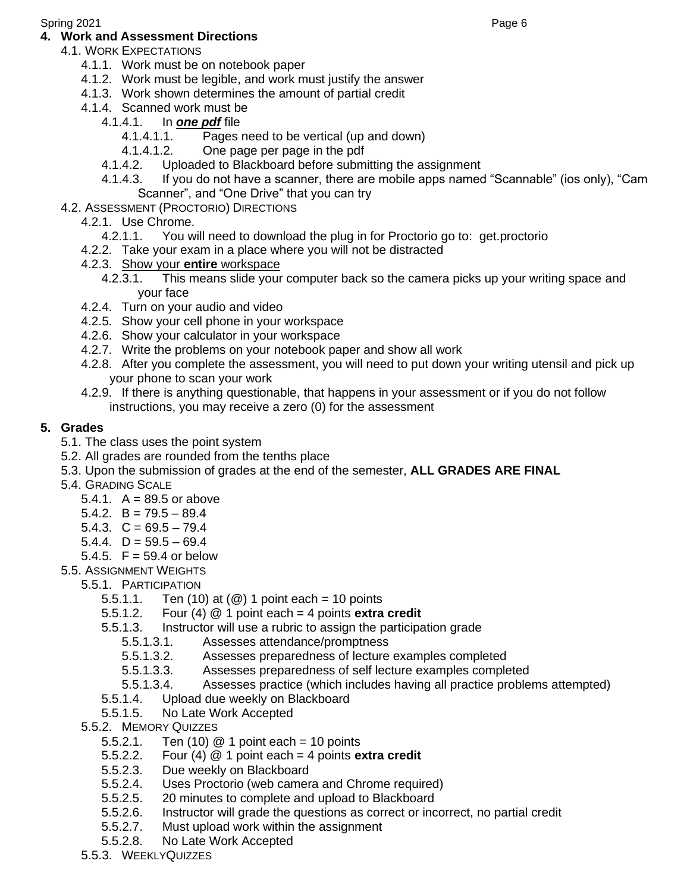### **4. Work and Assessment Directions**

#### 4.1. WORK EXPECTATIONS

- 4.1.1. Work must be on notebook paper
- 4.1.2. Work must be legible, and work must justify the answer
- 4.1.3. Work shown determines the amount of partial credit
- 4.1.4. Scanned work must be
	- 4.1.4.1. In *one pdf* file
		- 4.1.4.1.1. Pages need to be vertical (up and down)
		- 4.1.4.1.2. One page per page in the pdf
		- 4.1.4.2. Uploaded to Blackboard before submitting the assignment
		- 4.1.4.3. If you do not have a scanner, there are mobile apps named "Scannable" (ios only), "Cam Scanner", and "One Drive" that you can try
- 4.2. ASSESSMENT (PROCTORIO) DIRECTIONS
	- 4.2.1. Use Chrome.
		- 4.2.1.1. You will need to download the plug in for Proctorio go to: get.proctorio
	- 4.2.2. Take your exam in a place where you will not be distracted
	- 4.2.3. Show your **entire** workspace
		- 4.2.3.1. This means slide your computer back so the camera picks up your writing space and your face
	- 4.2.4. Turn on your audio and video
	- 4.2.5. Show your cell phone in your workspace
	- 4.2.6. Show your calculator in your workspace
	- 4.2.7. Write the problems on your notebook paper and show all work
	- 4.2.8. After you complete the assessment, you will need to put down your writing utensil and pick up your phone to scan your work
	- 4.2.9. If there is anything questionable, that happens in your assessment or if you do not follow instructions, you may receive a zero (0) for the assessment

### **5. Grades**

- 5.1. The class uses the point system
- 5.2. All grades are rounded from the tenths place
- 5.3. Upon the submission of grades at the end of the semester, **ALL GRADES ARE FINAL**
- 5.4. GRADING SCALE
	- 5.4.1.  $A = 89.5$  or above
	- 5.4.2.  $B = 79.5 89.4$
	- 5.4.3.  $C = 69.5 79.4$
	- $5.4.4.$  D =  $59.5 69.4$
	- 5.4.5.  $F = 59.4$  or below
- 5.5. ASSIGNMENT WEIGHTS
	- 5.5.1. PARTICIPATION
		- 5.5.1.1. Ten  $(10)$  at  $(②)$  1 point each = 10 points
		- 5.5.1.2. Four (4) @ 1 point each = 4 points **extra credit**
		- 5.5.1.3. Instructor will use a rubric to assign the participation grade
			- 5.5.1.3.1. Assesses attendance/promptness
			- 5.5.1.3.2. Assesses preparedness of lecture examples completed
			- 5.5.1.3.3. Assesses preparedness of self lecture examples completed
			- 5.5.1.3.4. Assesses practice (which includes having all practice problems attempted)
		- 5.5.1.4. Upload due weekly on Blackboard
		- 5.5.1.5. No Late Work Accepted
	- 5.5.2. MEMORY QUIZZES
		- 5.5.2.1. Ten (10) @ 1 point each = 10 points
		- 5.5.2.2. Four (4) @ 1 point each = 4 points **extra credit**
		- 5.5.2.3. Due weekly on Blackboard
		- 5.5.2.4. Uses Proctorio (web camera and Chrome required)
		- 5.5.2.5. 20 minutes to complete and upload to Blackboard
		- 5.5.2.6. Instructor will grade the questions as correct or incorrect, no partial credit
		- 5.5.2.7. Must upload work within the assignment
		- 5.5.2.8. No Late Work Accepted
	- 5.5.3. WEEKLYQUIZZES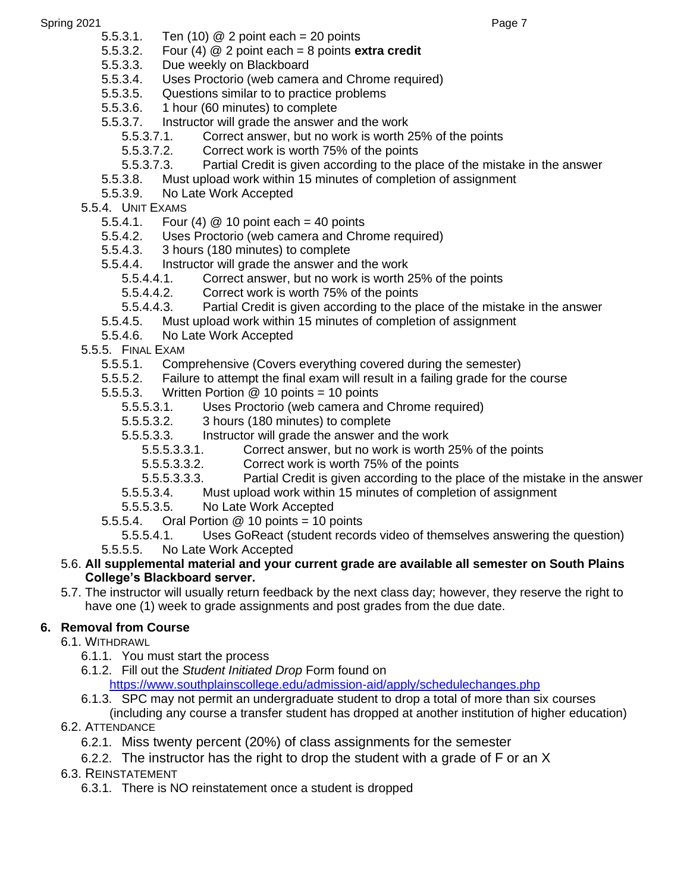Spring 2021 Page 7 (1999) 2021 Page 7 (1999) 2021 Page 7 (1999) 2021 Page 7 (1999) 2021

- 5.5.3.1. Ten (10) @ 2 point each = 20 points
	- 5.5.3.2. Four (4) @ 2 point each = 8 points **extra credit**
	- 5.5.3.3. Due weekly on Blackboard
	- 5.5.3.4. Uses Proctorio (web camera and Chrome required)
	- 5.5.3.5. Questions similar to to practice problems
	- 5.5.3.6. 1 hour (60 minutes) to complete
	- 5.5.3.7. Instructor will grade the answer and the work
		- 5.5.3.7.1. Correct answer, but no work is worth 25% of the points
		- 5.5.3.7.2. Correct work is worth 75% of the points
		- 5.5.3.7.3. Partial Credit is given according to the place of the mistake in the answer
	- 5.5.3.8. Must upload work within 15 minutes of completion of assignment
	- 5.5.3.9. No Late Work Accepted
- 5.5.4. UNIT EXAMS
	- 5.5.4.1. Four (4)  $@$  10 point each = 40 points
	- 5.5.4.2. Uses Proctorio (web camera and Chrome required)
	- 5.5.4.3. 3 hours (180 minutes) to complete
	- 5.5.4.4. Instructor will grade the answer and the work
		- 5.5.4.4.1. Correct answer, but no work is worth 25% of the points
		- 5.5.4.4.2. Correct work is worth 75% of the points
		- 5.5.4.4.3. Partial Credit is given according to the place of the mistake in the answer
	- 5.5.4.5. Must upload work within 15 minutes of completion of assignment
	- 5.5.4.6. No Late Work Accepted
- 5.5.5. FINAL EXAM
	- 5.5.5.1. Comprehensive (Covers everything covered during the semester)
	- 5.5.5.2. Failure to attempt the final exam will result in a failing grade for the course
	- 5.5.5.3. Written Portion @ 10 points = 10 points
		- 5.5.5.3.1. Uses Proctorio (web camera and Chrome required)
		- 5.5.5.3.2. 3 hours (180 minutes) to complete
		- 5.5.5.3.3. Instructor will grade the answer and the work
			- 5.5.5.3.3.1. Correct answer, but no work is worth 25% of the points
			- 5.5.5.3.3.2. Correct work is worth 75% of the points
			- 5.5.5.3.3.3. Partial Credit is given according to the place of the mistake in the answer
		- 5.5.5.3.4. Must upload work within 15 minutes of completion of assignment
		- 5.5.5.3.5. No Late Work Accepted
	- 5.5.5.4. Oral Portion  $@$  10 points = 10 points
		- 5.5.5.4.1. Uses GoReact (student records video of themselves answering the question)
	- 5.5.5.5. No Late Work Accepted
- 5.6. **All supplemental material and your current grade are available all semester on South Plains College's Blackboard server.**
- 5.7. The instructor will usually return feedback by the next class day; however, they reserve the right to have one (1) week to grade assignments and post grades from the due date.

# **6. Removal from Course**

- 6.1. WITHDRAWL
	- 6.1.1. You must start the process
	- 6.1.2. Fill out the *Student Initiated Drop* Form found on
		- <https://www.southplainscollege.edu/admission-aid/apply/schedulechanges.php>
	- 6.1.3. SPC may not permit an undergraduate student to drop a total of more than six courses (including any course a transfer student has dropped at another institution of higher education)

## 6.2. ATTENDANCE

- 6.2.1. Miss twenty percent (20%) of class assignments for the semester
- 6.2.2. The instructor has the right to drop the student with a grade of F or an X

# 6.3. REINSTATEMENT

6.3.1. There is NO reinstatement once a student is dropped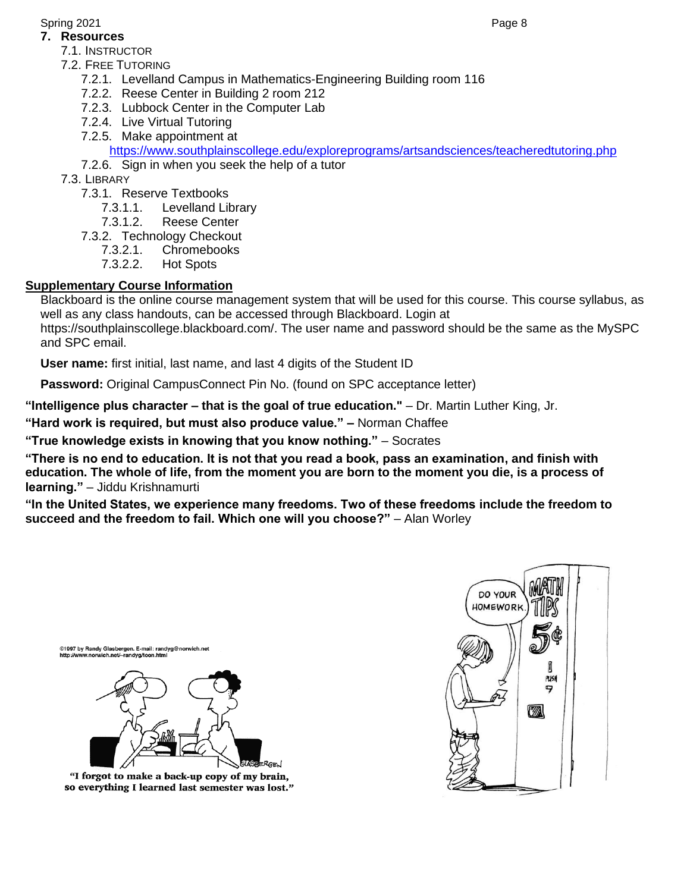#### **7. Resources**

- 7.1. INSTRUCTOR
- 7.2. FREE TUTORING
	- 7.2.1. Levelland Campus in Mathematics-Engineering Building room 116
	- 7.2.2. Reese Center in Building 2 room 212
	- 7.2.3. Lubbock Center in the Computer Lab
	- 7.2.4. Live Virtual Tutoring
	- 7.2.5. Make appointment at

<https://www.southplainscollege.edu/exploreprograms/artsandsciences/teacheredtutoring.php>

7.2.6. Sign in when you seek the help of a tutor

7.3. LIBRARY

- 7.3.1. Reserve Textbooks
	- 7.3.1.1. Levelland Library
	- 7.3.1.2. Reese Center
- 7.3.2. Technology Checkout
	- 7.3.2.1. Chromebooks
		- 7.3.2.2. Hot Spots

## **Supplementary Course Information**

Blackboard is the online course management system that will be used for this course. This course syllabus, as well as any class handouts, can be accessed through Blackboard. Login at

https://southplainscollege.blackboard.com/. The user name and password should be the same as the MySPC and SPC email.

**User name:** first initial, last name, and last 4 digits of the Student ID

**Password:** Original CampusConnect Pin No. (found on SPC acceptance letter)

**"Intelligence plus character – that is the goal of true education."** – Dr. Martin Luther King, Jr.

**"Hard work is required, but must also produce value." –** Norman Chaffee

**"True knowledge exists in knowing that you know nothing."** – Socrates

**"There is no end to education. It is not that you read a book, pass an examination, and finish with education. The whole of life, from the moment you are born to the moment you die, is a process of learning."** – Jiddu Krishnamurti

**"In the United States, we experience many freedoms. Two of these freedoms include the freedom to succeed and the freedom to fail. Which one will you choose?"** – Alan Worley



©1997 by Randy Glasbergen. E-mail: randyg@norwich.net<br>http://www.norwich.net/~randyg/toon.html

"I forgot to make a back-up copy of my brain, so everything I learned last semester was lost."

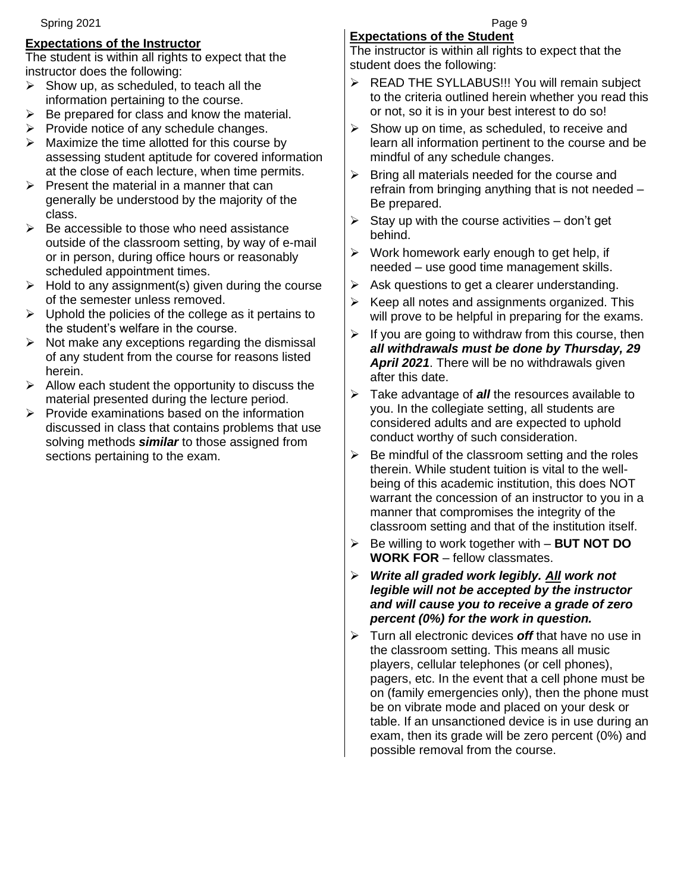## **Expectations of the Instructor**

The student is within all rights to expect that the instructor does the following:

- $\triangleright$  Show up, as scheduled, to teach all the information pertaining to the course.
- $\triangleright$  Be prepared for class and know the material.
- $\triangleright$  Provide notice of any schedule changes.
- $\triangleright$  Maximize the time allotted for this course by assessing student aptitude for covered information at the close of each lecture, when time permits.
- $\triangleright$  Present the material in a manner that can generally be understood by the majority of the class.
- $\triangleright$  Be accessible to those who need assistance outside of the classroom setting, by way of e-mail or in person, during office hours or reasonably scheduled appointment times.
- $\triangleright$  Hold to any assignment(s) given during the course of the semester unless removed.
- $\triangleright$  Uphold the policies of the college as it pertains to the student's welfare in the course.
- $\triangleright$  Not make any exceptions regarding the dismissal of any student from the course for reasons listed herein.
- $\triangleright$  Allow each student the opportunity to discuss the material presented during the lecture period.
- $\triangleright$  Provide examinations based on the information discussed in class that contains problems that use solving methods *similar* to those assigned from sections pertaining to the exam.

## **Expectations of the Student**

The instructor is within all rights to expect that the student does the following:

- ➢ READ THE SYLLABUS!!! You will remain subject to the criteria outlined herein whether you read this or not, so it is in your best interest to do so!
- $\triangleright$  Show up on time, as scheduled, to receive and learn all information pertinent to the course and be mindful of any schedule changes.
- $\triangleright$  Bring all materials needed for the course and refrain from bringing anything that is not needed – Be prepared.
- $\triangleright$  Stay up with the course activities don't get behind.
- $\triangleright$  Work homework early enough to get help, if needed – use good time management skills.
- $\triangleright$  Ask questions to get a clearer understanding.
- $\triangleright$  Keep all notes and assignments organized. This will prove to be helpful in preparing for the exams.
- $\triangleright$  If you are going to withdraw from this course, then *all withdrawals must be done by Thursday, 29 April 2021*. There will be no withdrawals given after this date.
- ➢ Take advantage of *all* the resources available to you. In the collegiate setting, all students are considered adults and are expected to uphold conduct worthy of such consideration.
- $\triangleright$  Be mindful of the classroom setting and the roles therein. While student tuition is vital to the wellbeing of this academic institution, this does NOT warrant the concession of an instructor to you in a manner that compromises the integrity of the classroom setting and that of the institution itself.
- ➢ Be willing to work together with **BUT NOT DO WORK FOR** – fellow classmates.
- ➢ *Write all graded work legibly. All work not legible will not be accepted by the instructor and will cause you to receive a grade of zero percent (0%) for the work in question.*
- ➢ Turn all electronic devices *off* that have no use in the classroom setting. This means all music players, cellular telephones (or cell phones), pagers, etc. In the event that a cell phone must be on (family emergencies only), then the phone must be on vibrate mode and placed on your desk or table. If an unsanctioned device is in use during an exam, then its grade will be zero percent (0%) and possible removal from the course.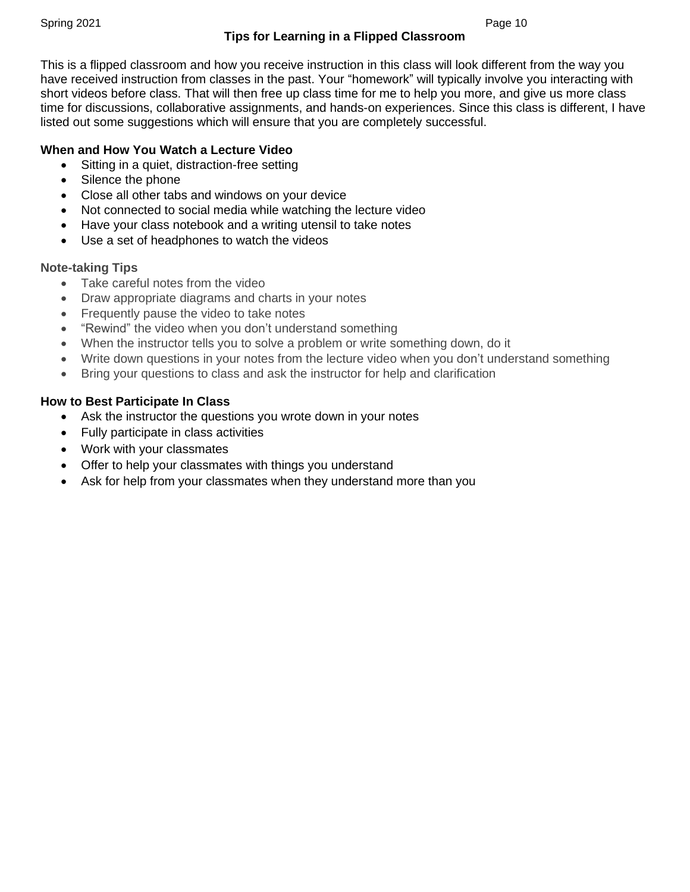### **Tips for Learning in a Flipped Classroom**

This is a flipped classroom and how you receive instruction in this class will look different from the way you have received instruction from classes in the past. Your "homework" will typically involve you interacting with short videos before class. That will then free up class time for me to help you more, and give us more class time for discussions, collaborative assignments, and hands-on experiences. Since this class is different, I have listed out some suggestions which will ensure that you are completely successful.

#### **When and How You Watch a Lecture Video**

- Sitting in a quiet, distraction-free setting
- Silence the phone
- Close all other tabs and windows on your device
- Not connected to social media while watching the lecture video
- Have your class notebook and a writing utensil to take notes
- Use a set of headphones to watch the videos

### **Note-taking Tips**

- Take careful notes from the video
- Draw appropriate diagrams and charts in your notes
- Frequently pause the video to take notes
- "Rewind" the video when you don't understand something
- When the instructor tells you to solve a problem or write something down, do it
- Write down questions in your notes from the lecture video when you don't understand something
- Bring your questions to class and ask the instructor for help and clarification

### **How to Best Participate In Class**

- Ask the instructor the questions you wrote down in your notes
- Fully participate in class activities
- Work with your classmates
- Offer to help your classmates with things you understand
- Ask for help from your classmates when they understand more than you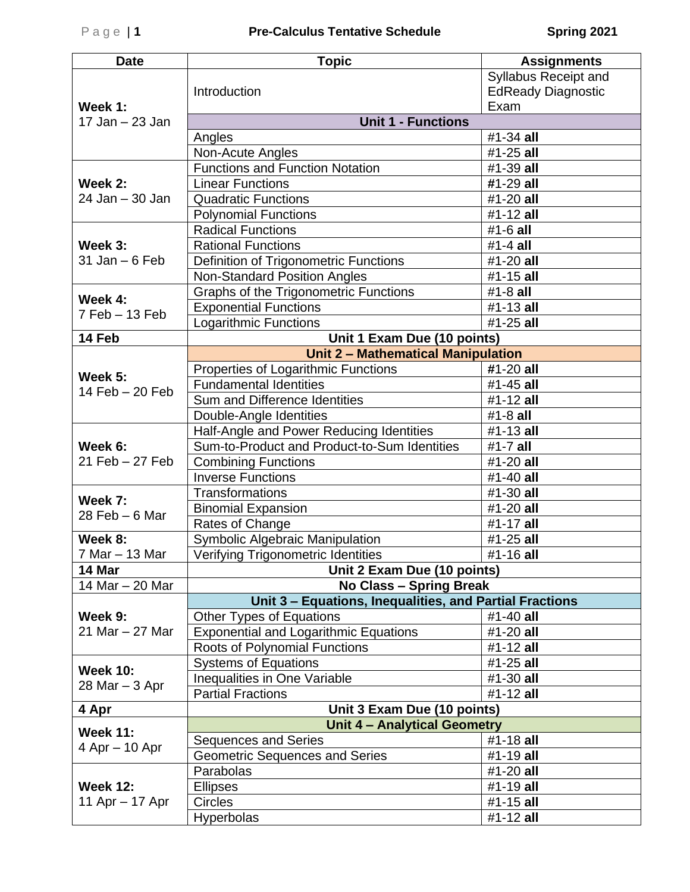| <b>Date</b>                           | <b>Topic</b>                                                         | <b>Assignments</b>                                |
|---------------------------------------|----------------------------------------------------------------------|---------------------------------------------------|
| Week 1:<br>17 Jan - 23 Jan            | Introduction                                                         | Syllabus Receipt and<br><b>EdReady Diagnostic</b> |
|                                       |                                                                      | Exam                                              |
|                                       | <b>Unit 1 - Functions</b>                                            |                                                   |
|                                       | Angles                                                               | #1-34 all                                         |
|                                       | Non-Acute Angles                                                     | #1-25 all                                         |
| Week 2:<br>24 Jan - 30 Jan            | <b>Functions and Function Notation</b>                               | #1-39 all                                         |
|                                       | <b>Linear Functions</b>                                              | #1-29 all                                         |
|                                       | <b>Quadratic Functions</b>                                           | #1-20 all                                         |
| Week 3:<br>$31$ Jan $-6$ Feb          | <b>Polynomial Functions</b>                                          | #1-12 all                                         |
|                                       | <b>Radical Functions</b>                                             | #1-6 all                                          |
|                                       | <b>Rational Functions</b>                                            | $#1-4$ all                                        |
|                                       | Definition of Trigonometric Functions                                | #1-20 all                                         |
|                                       | Non-Standard Position Angles                                         | #1-15 all                                         |
| Week 4:<br>$7$ Feb $-$ 13 Feb         | <b>Graphs of the Trigonometric Functions</b>                         | $#1-8$ all                                        |
|                                       | <b>Exponential Functions</b>                                         | #1-13 all                                         |
|                                       | <b>Logarithmic Functions</b>                                         | #1-25 all                                         |
| 14 Feb                                | Unit 1 Exam Due (10 points)                                          |                                                   |
|                                       | <b>Unit 2 - Mathematical Manipulation</b>                            |                                                   |
| Week 5:                               | Properties of Logarithmic Functions<br><b>Fundamental Identities</b> | #1-20 all<br>#1-45 all                            |
| 14 Feb - 20 Feb                       |                                                                      | #1-12 all                                         |
|                                       | Sum and Difference Identities                                        | #1-8 all                                          |
|                                       | Double-Angle Identities<br>Half-Angle and Power Reducing Identities  | #1-13 all                                         |
| Week 6:                               | Sum-to-Product and Product-to-Sum Identities                         | #1-7 all                                          |
| 21 Feb - 27 Feb                       | <b>Combining Functions</b>                                           | #1-20 all                                         |
|                                       | <b>Inverse Functions</b>                                             | #1-40 all                                         |
|                                       | <b>Transformations</b>                                               | #1-30 all                                         |
| Week 7:                               |                                                                      | #1-20 all                                         |
| 28 Feb $-6$ Mar                       | <b>Binomial Expansion</b><br>Rates of Change                         | #1-17 all                                         |
|                                       | Symbolic Algebraic Manipulation                                      | #1-25 all                                         |
| Week 8:<br>$7$ Mar $-$ 13 Mar         |                                                                      | #1-16 all                                         |
| 14 Mar                                | <b>Verifying Trigonometric Identities</b>                            |                                                   |
| 14 Mar - 20 Mar                       | Unit 2 Exam Due (10 points)<br><b>No Class - Spring Break</b>        |                                                   |
|                                       | Unit 3 - Equations, Inequalities, and Partial Fractions              |                                                   |
| Week 9:<br>21 Mar - 27 Mar            | <b>Other Types of Equations</b>                                      | #1-40 all                                         |
|                                       | <b>Exponential and Logarithmic Equations</b>                         | #1-20 all                                         |
|                                       | <b>Roots of Polynomial Functions</b>                                 | #1-12 all                                         |
| <b>Week 10:</b>                       | <b>Systems of Equations</b>                                          | #1-25 all                                         |
|                                       | Inequalities in One Variable                                         | #1-30 all                                         |
| $28$ Mar $-3$ Apr                     | <b>Partial Fractions</b>                                             | $\frac{1}{4}$ 1-12 all                            |
| 4 Apr                                 | Unit 3 Exam Due (10 points)                                          |                                                   |
| <b>Week 11:</b><br>$4$ Apr $-$ 10 Apr | Unit 4 - Analytical Geometry                                         |                                                   |
|                                       | <b>Sequences and Series</b>                                          | #1-18 all                                         |
|                                       | <b>Geometric Sequences and Series</b>                                | #1-19 all                                         |
| <b>Week 12:</b><br>11 Apr - 17 Apr    | Parabolas                                                            | #1-20 all                                         |
|                                       | Ellipses                                                             | $\frac{1}{41}$ -19 all                            |
|                                       | <b>Circles</b>                                                       | #1-15 all                                         |
|                                       | <b>Hyperbolas</b>                                                    | #1-12 all                                         |